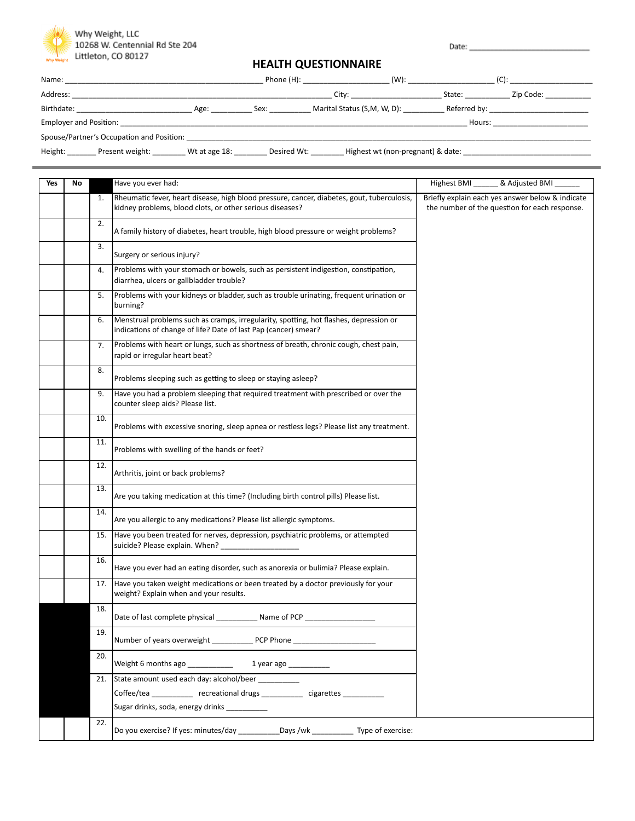

Date:

## **HEALTH QUESTIONNAIRE**

| Name:                                                          |               |             | Phone (H): The contract of the contract of the contract of the contract of the contract of the contract of the contract of the contract of the contract of the contract of the contract of the contract of the contract of the | $(W)$ :                           |        |                                         |
|----------------------------------------------------------------|---------------|-------------|--------------------------------------------------------------------------------------------------------------------------------------------------------------------------------------------------------------------------------|-----------------------------------|--------|-----------------------------------------|
| Address:                                                       |               |             | City:                                                                                                                                                                                                                          |                                   | State: | Zip Code:                               |
| Birthdate:                                                     | Age:          | Sex:        | Marital Status (S,M, W, D):                                                                                                                                                                                                    |                                   |        | Referred by: __________________________ |
| <b>Employer and Position:</b> Employer and Position:<br>Hours: |               |             |                                                                                                                                                                                                                                |                                   |        |                                         |
| Spouse/Partner's Occupation and Position:                      |               |             |                                                                                                                                                                                                                                |                                   |        |                                         |
| Height:<br>Present weight:                                     | Wt at age 18: | Desired Wt: |                                                                                                                                                                                                                                | Highest wt (non-pregnant) & date: |        |                                         |

| Yes | No |     | Have you ever had:                                                                                                                                       | & Adjusted BMI<br>Highest BMI                                                                     |
|-----|----|-----|----------------------------------------------------------------------------------------------------------------------------------------------------------|---------------------------------------------------------------------------------------------------|
|     |    | 1.  | Rheumatic fever, heart disease, high blood pressure, cancer, diabetes, gout, tuberculosis,<br>kidney problems, blood clots, or other serious diseases?   | Briefly explain each yes answer below & indicate<br>the number of the question for each response. |
|     |    | 2.  | A family history of diabetes, heart trouble, high blood pressure or weight problems?                                                                     |                                                                                                   |
|     |    | 3.  | Surgery or serious injury?                                                                                                                               |                                                                                                   |
|     |    | 4.  | Problems with your stomach or bowels, such as persistent indigestion, constipation,<br>diarrhea, ulcers or gallbladder trouble?                          |                                                                                                   |
|     |    | 5.  | Problems with your kidneys or bladder, such as trouble urinating, frequent urination or<br>burning?                                                      |                                                                                                   |
|     |    | 6.  | Menstrual problems such as cramps, irregularity, spotting, hot flashes, depression or<br>indications of change of life? Date of last Pap (cancer) smear? |                                                                                                   |
|     |    | 7.  | Problems with heart or lungs, such as shortness of breath, chronic cough, chest pain,<br>rapid or irregular heart beat?                                  |                                                                                                   |
|     |    | 8.  | Problems sleeping such as getting to sleep or staying asleep?                                                                                            |                                                                                                   |
|     |    | 9.  | Have you had a problem sleeping that required treatment with prescribed or over the<br>counter sleep aids? Please list.                                  |                                                                                                   |
|     |    | 10. | Problems with excessive snoring, sleep apnea or restless legs? Please list any treatment.                                                                |                                                                                                   |
|     |    | 11. | Problems with swelling of the hands or feet?                                                                                                             |                                                                                                   |
|     |    | 12. | Arthritis, joint or back problems?                                                                                                                       |                                                                                                   |
|     |    | 13. | Are you taking medication at this time? (Including birth control pills) Please list.                                                                     |                                                                                                   |
|     |    | 14. | Are you allergic to any medications? Please list allergic symptoms.                                                                                      |                                                                                                   |
|     |    | 15. | Have you been treated for nerves, depression, psychiatric problems, or attempted<br>suicide? Please explain. When?                                       |                                                                                                   |
|     |    | 16. | Have you ever had an eating disorder, such as anorexia or bulimia? Please explain.                                                                       |                                                                                                   |
|     |    | 17. | Have you taken weight medications or been treated by a doctor previously for your<br>weight? Explain when and your results.                              |                                                                                                   |
|     |    | 18. | Date of last complete physical<br>Name of PCP ___                                                                                                        |                                                                                                   |
|     |    | 19. | Number of years overweight _______________ PCP Phone ______________                                                                                      |                                                                                                   |
|     |    | 20. | Weight 6 months ago ___________<br>1 year ago __________                                                                                                 |                                                                                                   |
|     |    | 21. | State amount used each day: alcohol/beer __________                                                                                                      |                                                                                                   |
|     |    |     | Coffee/tea _____________ recreational drugs ___________ cigarettes __________                                                                            |                                                                                                   |
|     |    |     | Sugar drinks, soda, energy drinks __________                                                                                                             |                                                                                                   |
|     |    | 22. | Do you exercise? If yes: minutes/day ____________Days /wk _____________ Type of exercise:                                                                |                                                                                                   |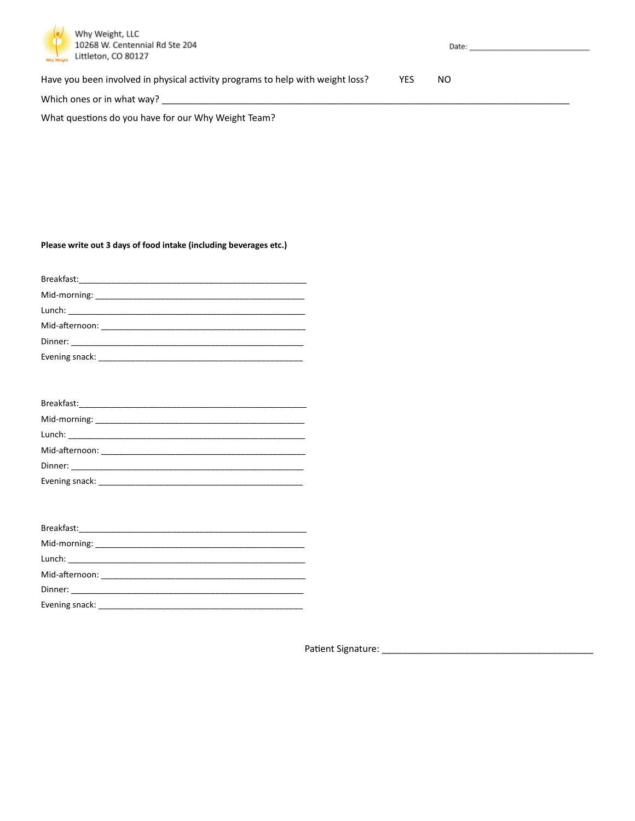

Have you been involved in physical activity programs to help with weight loss? YES  $NO$ 

Which ones or in what way? \_\_\_\_

What questions do you have for our Why Weight Team?

## Please write out 3 days of food intake (including beverages etc.)

| Evening snack: Evening snack: |
|-------------------------------|

| Evening snack: Evening |  |
|------------------------|--|